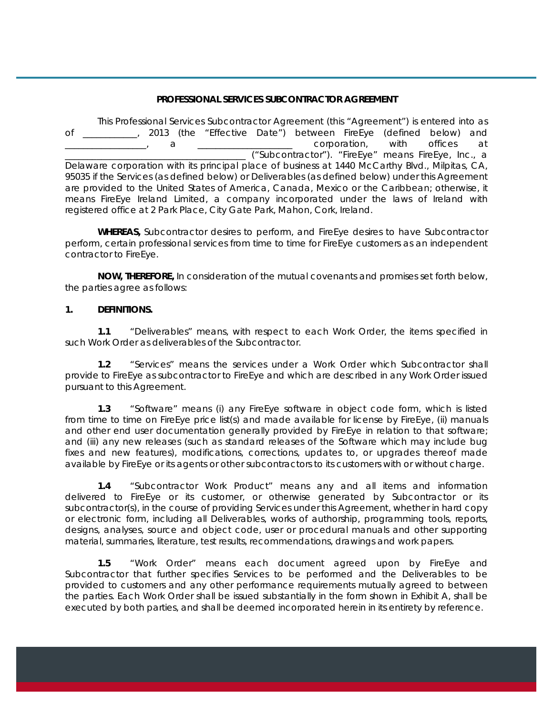#### **PROFESSIONAL SERVICES SUBCONTRACTOR AGREEMENT**

This Professional Services Subcontractor Agreement (this "Agreement") is entered into as of \_\_\_\_\_\_\_\_\_\_\_\_, 2013 (the "Effective Date") between FireEye (defined below) and \_\_\_\_\_\_\_\_\_\_\_\_\_\_\_\_\_\_, a \_\_\_\_\_\_\_\_\_\_\_\_\_\_\_\_\_\_\_\_\_ corporation, with offices at \_\_\_\_\_\_\_\_\_\_\_\_\_\_\_\_\_\_\_\_\_\_\_\_\_\_\_\_\_\_\_\_\_\_\_\_\_\_\_\_ ("Subcontractor"). "FireEye" means FireEye, Inc., a Delaware corporation with its principal place of business at 1440 McCarthy Blvd., Milpitas, CA, 95035 if the Services (as defined below) or Deliverables (as defined below) under this Agreement are provided to the United States of America, Canada, Mexico or the Caribbean; otherwise, it means FireEye Ireland Limited, a company incorporated under the laws of Ireland with registered office at 2 Park Place, City Gate Park, Mahon, Cork, Ireland.

**WHEREAS,** Subcontractor desires to perform, and FireEye desires to have Subcontractor perform, certain professional services from time to time for FireEye customers as an independent contractor to FireEye.

**NOW, THEREFORE,** In consideration of the mutual covenants and promises set forth below, the parties agree as follows:

#### **1. DEFINITIONS.**

**1.1** "Deliverables" means, with respect to each Work Order, the items specified in such Work Order as deliverables of the Subcontractor.

**1.2** "Services" means the services under a Work Order which Subcontractor shall provide to FireEye as subcontractor to FireEye and which are described in any Work Order issued pursuant to this Agreement.

**1.3** "Software" means (i) any FireEye software in object code form, which is listed from time to time on FireEye price list(s) and made available for license by FireEye, (ii) manuals and other end user documentation generally provided by FireEye in relation to that software; and (iii) any new releases (such as standard releases of the Software which may include bug fixes and new features), modifications, corrections, updates to, or upgrades thereof made available by FireEye or its agents or other subcontractors to its customers with or without charge.

**1.4** "Subcontractor Work Product" means any and all items and information delivered to FireEye or its customer, or otherwise generated by Subcontractor or its subcontractor(s), in the course of providing Services under this Agreement, whether in hard copy or electronic form, including all Deliverables, works of authorship, programming tools, reports, designs, analyses, source and object code, user or procedural manuals and other supporting material, summaries, literature, test results, recommendations, drawings and work papers.

**1.5** "Work Order" means each document agreed upon by FireEye and Subcontractor that further specifies Services to be performed and the Deliverables to be provided to customers and any other performance requirements mutually agreed to between the parties. Each Work Order shall be issued substantially in the form shown in Exhibit A, shall be executed by both parties, and shall be deemed incorporated herein in its entirety by reference.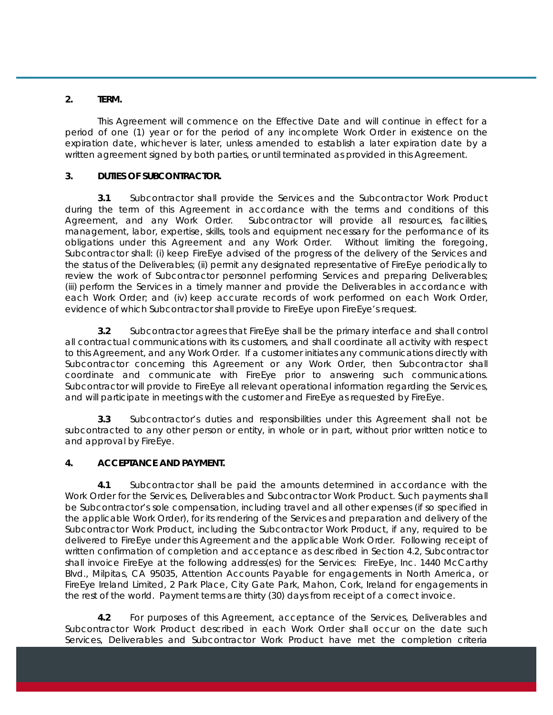#### **2. TERM.**

This Agreement will commence on the Effective Date and will continue in effect for a period of one (1) year or for the period of any incomplete Work Order in existence on the expiration date, whichever is later, unless amended to establish a later expiration date by a written agreement signed by both parties, or until terminated as provided in this Agreement.

#### **3. DUTIES OF SUBCONTRACTOR.**

**3.1** Subcontractor shall provide the Services and the Subcontractor Work Product during the term of this Agreement in accordance with the terms and conditions of this Agreement, and any Work Order. Subcontractor will provide all resources, facilities, management, labor, expertise, skills, tools and equipment necessary for the performance of its obligations under this Agreement and any Work Order. Without limiting the foregoing, Subcontractor shall: (i) keep FireEye advised of the progress of the delivery of the Services and the status of the Deliverables; (ii) permit any designated representative of FireEye periodically to review the work of Subcontractor personnel performing Services and preparing Deliverables; (iii) perform the Services in a timely manner and provide the Deliverables in accordance with each Work Order; and (iv) keep accurate records of work performed on each Work Order, evidence of which Subcontractor shall provide to FireEye upon FireEye's request.

**3.2** Subcontractor agrees that FireEye shall be the primary interface and shall control all contractual communications with its customers, and shall coordinate all activity with respect to this Agreement, and any Work Order. If a customer initiates any communications directly with Subcontractor concerning this Agreement or any Work Order, then Subcontractor shall coordinate and communicate with FireEye prior to answering such communications. Subcontractor will provide to FireEye all relevant operational information regarding the Services, and will participate in meetings with the customer and FireEye as requested by FireEye.

**3.3** Subcontractor's duties and responsibilities under this Agreement shall not be subcontracted to any other person or entity, in whole or in part, without prior written notice to and approval by FireEye.

#### **4. ACCEPTANCE AND PAYMENT.**

**4.1** Subcontractor shall be paid the amounts determined in accordance with the Work Order for the Services, Deliverables and Subcontractor Work Product. Such payments shall be Subcontractor's sole compensation, including travel and all other expenses (if so specified in the applicable Work Order), for its rendering of the Services and preparation and delivery of the Subcontractor Work Product, including the Subcontractor Work Product, if any, required to be delivered to FireEye under this Agreement and the applicable Work Order. Following receipt of written confirmation of completion and acceptance as described in Section 4.2, Subcontractor shall invoice FireEye at the following address(es) for the Services: FireEye, Inc. 1440 McCarthy Blvd., Milpitas, CA 95035, Attention Accounts Payable for engagements in North America, or FireEye Ireland Limited, 2 Park Place, City Gate Park, Mahon, Cork, Ireland for engagements in the rest of the world. Payment terms are thirty (30) days from receipt of a correct invoice.

**4.2** For purposes of this Agreement, acceptance of the Services, Deliverables and Subcontractor Work Product described in each Work Order shall occur on the date such Services, Deliverables and Subcontractor Work Product have met the completion criteria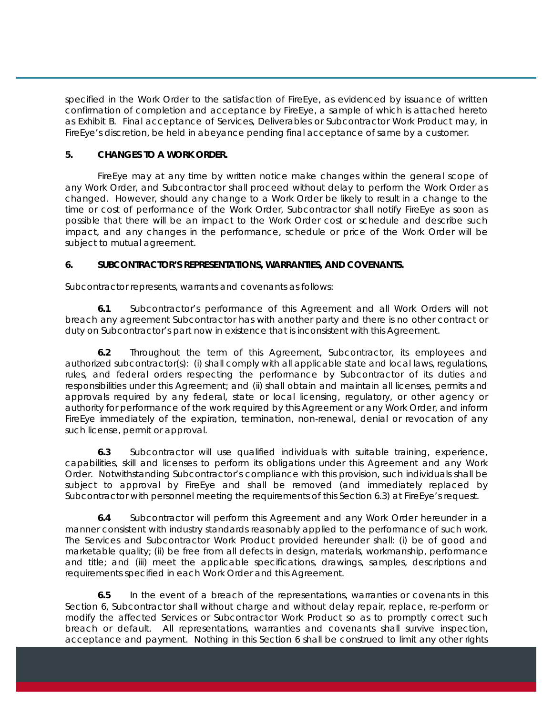specified in the Work Order to the satisfaction of FireEye, as evidenced by issuance of written confirmation of completion and acceptance by FireEye, a sample of which is attached hereto as Exhibit B. Final acceptance of Services, Deliverables or Subcontractor Work Product may, in FireEye's discretion, be held in abeyance pending final acceptance of same by a customer.

### **5. CHANGES TO A WORK ORDER.**

FireEye may at any time by written notice make changes within the general scope of any Work Order, and Subcontractor shall proceed without delay to perform the Work Order as changed. However, should any change to a Work Order be likely to result in a change to the time or cost of performance of the Work Order, Subcontractor shall notify FireEye as soon as possible that there will be an impact to the Work Order cost or schedule and describe such impact, and any changes in the performance, schedule or price of the Work Order will be subject to mutual agreement.

### **6. SUBCONTRACTOR'S REPRESENTATIONS, WARRANTIES, AND COVENANTS.**

Subcontractor represents, warrants and covenants as follows:

**6.1** Subcontractor's performance of this Agreement and all Work Orders will not breach any agreement Subcontractor has with another party and there is no other contract or duty on Subcontractor's part now in existence that is inconsistent with this Agreement.

**6.2** Throughout the term of this Agreement, Subcontractor, its employees and authorized subcontractor(s): (i) shall comply with all applicable state and local laws, regulations, rules, and federal orders respecting the performance by Subcontractor of its duties and responsibilities under this Agreement; and (ii) shall obtain and maintain all licenses, permits and approvals required by any federal, state or local licensing, regulatory, or other agency or authority for performance of the work required by this Agreement or any Work Order, and inform FireEye immediately of the expiration, termination, non-renewal, denial or revocation of any such license, permit or approval.

**6.3** Subcontractor will use qualified individuals with suitable training, experience, capabilities, skill and licenses to perform its obligations under this Agreement and any Work Order. Notwithstanding Subcontractor's compliance with this provision, such individuals shall be subject to approval by FireEye and shall be removed (and immediately replaced by Subcontractor with personnel meeting the requirements of this Section 6.3) at FireEye's request.

**6.4** Subcontractor will perform this Agreement and any Work Order hereunder in a manner consistent with industry standards reasonably applied to the performance of such work. The Services and Subcontractor Work Product provided hereunder shall: (i) be of good and marketable quality; (ii) be free from all defects in design, materials, workmanship, performance and title; and (iii) meet the applicable specifications, drawings, samples, descriptions and requirements specified in each Work Order and this Agreement.

**6.5** In the event of a breach of the representations, warranties or covenants in this Section 6, Subcontractor shall without charge and without delay repair, replace, re-perform or modify the affected Services or Subcontractor Work Product so as to promptly correct such breach or default. All representations, warranties and covenants shall survive inspection, acceptance and payment. Nothing in this Section 6 shall be construed to limit any other rights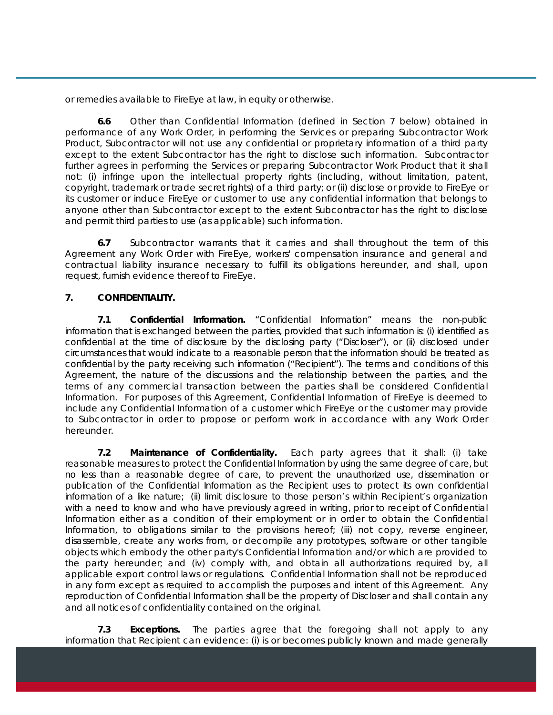or remedies available to FireEye at law, in equity or otherwise.

**6.6** Other than Confidential Information (defined in Section 7 below) obtained in performance of any Work Order, in performing the Services or preparing Subcontractor Work Product, Subcontractor will not use any confidential or proprietary information of a third party except to the extent Subcontractor has the right to disclose such information. Subcontractor further agrees in performing the Services or preparing Subcontractor Work Product that it shall not: (i) infringe upon the intellectual property rights (including, without limitation, patent, copyright, trademark or trade secret rights) of a third party; or (ii) disclose or provide to FireEye or its customer or induce FireEye or customer to use any confidential information that belongs to anyone other than Subcontractor except to the extent Subcontractor has the right to disclose and permit third parties to use (as applicable) such information.

**6.7** Subcontractor warrants that it carries and shall throughout the term of this Agreement any Work Order with FireEye, workers' compensation insurance and general and contractual liability insurance necessary to fulfill its obligations hereunder, and shall, upon request, furnish evidence thereof to FireEye.

# **7. CONFIDENTIALITY.**

**7.1 Confidential Information.** "Confidential Information" means the non-public information that is exchanged between the parties, provided that such information is: (i) identified as confidential at the time of disclosure by the disclosing party ("Discloser"), or (ii) disclosed under circumstances that would indicate to a reasonable person that the information should be treated as confidential by the party receiving such information ("Recipient"). The terms and conditions of this Agreement, the nature of the discussions and the relationship between the parties, and the terms of any commercial transaction between the parties shall be considered Confidential Information. For purposes of this Agreement, Confidential Information of FireEye is deemed to include any Confidential Information of a customer which FireEye or the customer may provide to Subcontractor in order to propose or perform work in accordance with any Work Order hereunder.

**7.2 Maintenance of Confidentiality.** Each party agrees that it shall: (i) take reasonable measures to protect the Confidential Information by using the same degree of care, but no less than a reasonable degree of care, to prevent the unauthorized use, dissemination or publication of the Confidential Information as the Recipient uses to protect its own confidential information of a like nature; (ii) limit disclosure to those person's within Recipient's organization with a need to know and who have previously agreed in writing, prior to receipt of Confidential Information either as a condition of their employment or in order to obtain the Confidential Information, to obligations similar to the provisions hereof; (iii) not copy, reverse engineer, disassemble, create any works from, or decompile any prototypes, software or other tangible objects which embody the other party's Confidential Information and/or which are provided to the party hereunder; and (iv) comply with, and obtain all authorizations required by, all applicable export control laws or regulations. Confidential Information shall not be reproduced in any form except as required to accomplish the purposes and intent of this Agreement. Any reproduction of Confidential Information shall be the property of Discloser and shall contain any and all notices of confidentiality contained on the original.

**7.3 Exceptions.** The parties agree that the foregoing shall not apply to any information that Recipient can evidence: (i) is or becomes publicly known and made generally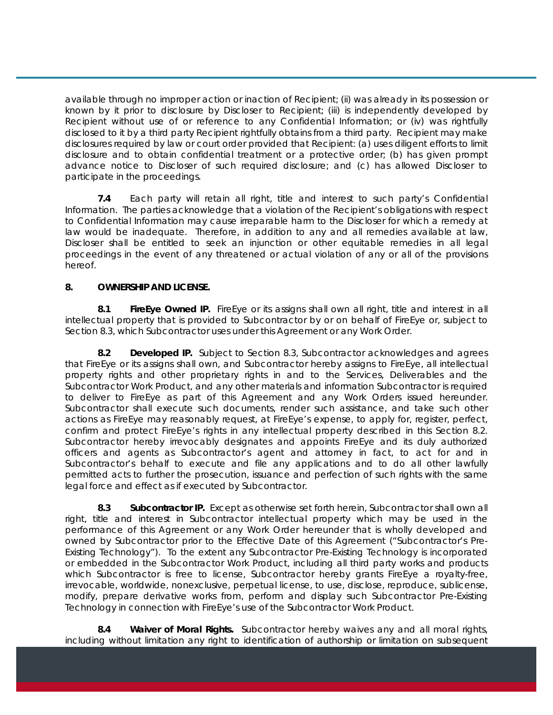available through no improper action or inaction of Recipient; (ii) was already in its possession or known by it prior to disclosure by Discloser to Recipient; (iii) is independently developed by Recipient without use of or reference to any Confidential Information; or (iv) was rightfully disclosed to it by a third party Recipient rightfully obtains from a third party. Recipient may make disclosures required by law or court order provided that Recipient: (a) uses diligent efforts to limit disclosure and to obtain confidential treatment or a protective order; (b) has given prompt advance notice to Discloser of such required disclosure; and (c) has allowed Discloser to participate in the proceedings.

**7.4** Each party will retain all right, title and interest to such party's Confidential Information. The parties acknowledge that a violation of the Recipient's obligations with respect to Confidential Information may cause irreparable harm to the Discloser for which a remedy at law would be inadequate. Therefore, in addition to any and all remedies available at law, Discloser shall be entitled to seek an injunction or other equitable remedies in all legal proceedings in the event of any threatened or actual violation of any or all of the provisions hereof.

# **8. OWNERSHIP AND LICENSE.**

**8.1 FireEye Owned IP.** FireEye or its assigns shall own all right, title and interest in all intellectual property that is provided to Subcontractor by or on behalf of FireEye or, subject to Section 8.3, which Subcontractor uses under this Agreement or any Work Order.

**8.2 Developed IP.** Subject to Section 8.3, Subcontractor acknowledges and agrees that FireEye or its assigns shall own, and Subcontractor hereby assigns to FireEye, all intellectual property rights and other proprietary rights in and to the Services, Deliverables and the Subcontractor Work Product, and any other materials and information Subcontractor is required to deliver to FireEye as part of this Agreement and any Work Orders issued hereunder. Subcontractor shall execute such documents, render such assistance, and take such other actions as FireEye may reasonably request, at FireEye's expense, to apply for, register, perfect, confirm and protect FireEye's rights in any intellectual property described in this Section 8.2. Subcontractor hereby irrevocably designates and appoints FireEye and its duly authorized officers and agents as Subcontractor's agent and attorney in fact, to act for and in Subcontractor's behalf to execute and file any applications and to do all other lawfully permitted acts to further the prosecution, issuance and perfection of such rights with the same legal force and effect as if executed by Subcontractor.

**8.3 Subcontractor IP.** Except as otherwise set forth herein, Subcontractor shall own all right, title and interest in Subcontractor intellectual property which may be used in the performance of this Agreement or any Work Order hereunder that is wholly developed and owned by Subcontractor prior to the Effective Date of this Agreement ("Subcontractor's Pre-Existing Technology"). To the extent any Subcontractor Pre-Existing Technology is incorporated or embedded in the Subcontractor Work Product, including all third party works and products which Subcontractor is free to license, Subcontractor hereby grants FireEye a royalty-free, irrevocable, worldwide, nonexclusive, perpetual license, to use, disclose, reproduce, sublicense, modify, prepare derivative works from, perform and display such Subcontractor Pre-Existing Technology in connection with FireEye's use of the Subcontractor Work Product.

**8.4 Waiver of Moral Rights.** Subcontractor hereby waives any and all moral rights, including without limitation any right to identification of authorship or limitation on subsequent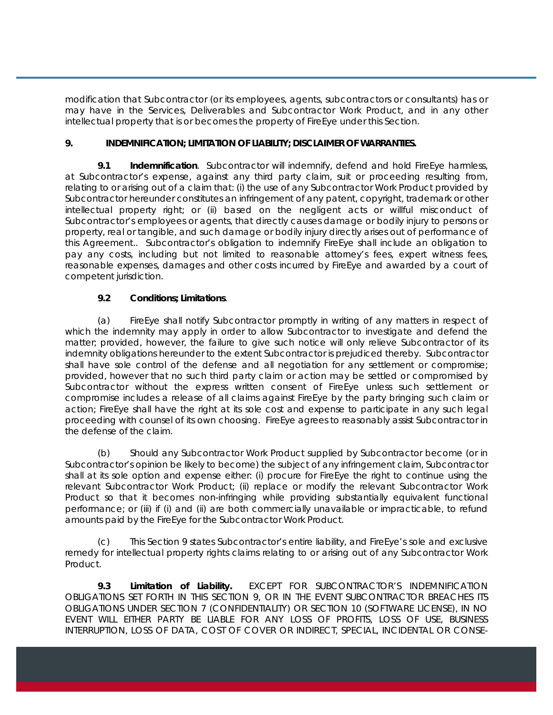modification that Subcontractor (or its employees, agents, subcontractors or consultants) has or may have in the Services, Deliverables and Subcontractor Work Product, and in any other intellectual property that is or becomes the property of FireEye under this Section.

## **9. INDEMNIFICATION; LIMITATION OF LIABILITY; DISCLAIMER OF WARRANTIES.**

**9.1 Indemnification**. Subcontractor will indemnify, defend and hold FireEye harmless, at Subcontractor's expense, against any third party claim, suit or proceeding resulting from, relating to or arising out of a claim that: (i) the use of any Subcontractor Work Product provided by Subcontractor hereunder constitutes an infringement of any patent, copyright, trademark or other intellectual property right; or (ii) based on the negligent acts or willful misconduct of Subcontractor's employees or agents, that directly causes damage or bodily injury to persons or property, real or tangible, and such damage or bodily injury directly arises out of performance of this Agreement.. Subcontractor's obligation to indemnify FireEye shall include an obligation to pay any costs, including but not limited to reasonable attorney's fees, expert witness fees, reasonable expenses, damages and other costs incurred by FireEye and awarded by a court of competent jurisdiction.

# **9.2 Conditions; Limitations**.

(a) FireEye shall notify Subcontractor promptly in writing of any matters in respect of which the indemnity may apply in order to allow Subcontractor to investigate and defend the matter; provided, however, the failure to give such notice will only relieve Subcontractor of its indemnity obligations hereunder to the extent Subcontractor is prejudiced thereby. Subcontractor shall have sole control of the defense and all negotiation for any settlement or compromise; provided, however that no such third party claim or action may be settled or compromised by Subcontractor without the express written consent of FireEye unless such settlement or compromise includes a release of all claims against FireEye by the party bringing such claim or action; FireEye shall have the right at its sole cost and expense to participate in any such legal proceeding with counsel of its own choosing. FireEye agrees to reasonably assist Subcontractor in the defense of the claim.

(b) Should any Subcontractor Work Product supplied by Subcontractor become (or in Subcontractor's opinion be likely to become) the subject of any infringement claim, Subcontractor shall at its sole option and expense either: (i) procure for FireEye the right to continue using the relevant Subcontractor Work Product; (ii) replace or modify the relevant Subcontractor Work Product so that it becomes non-infringing while providing substantially equivalent functional performance; or (iii) if (i) and (ii) are both commercially unavailable or impracticable, to refund amounts paid by the FireEye for the Subcontractor Work Product.

(c) This Section 9 states Subcontractor's entire liability, and FireEye's sole and exclusive remedy for intellectual property rights claims relating to or arising out of any Subcontractor Work Product.

**9.3 Limitation of Liability.** EXCEPT FOR SUBCONTRACTOR'S INDEMNIFICATION OBLIGATIONS SET FORTH IN THIS SECTION 9, OR IN THE EVENT SUBCONTRACTOR BREACHES ITS OBLIGATIONS UNDER SECTION 7 (CONFIDENTIALITY) OR SECTION 10 (SOFTWARE LICENSE), IN NO EVENT WILL EITHER PARTY BE LIABLE FOR ANY LOSS OF PROFITS, LOSS OF USE, BUSINESS INTERRUPTION, LOSS OF DATA, COST OF COVER OR INDIRECT, SPECIAL, INCIDENTAL OR CONSE-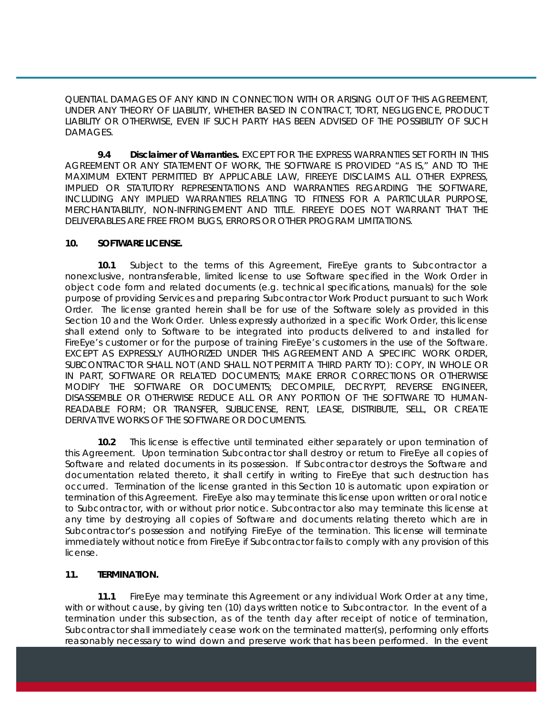QUENTIAL DAMAGES OF ANY KIND IN CONNECTION WITH OR ARISING OUT OF THIS AGREEMENT, UNDER ANY THEORY OF LIABILITY, WHETHER BASED IN CONTRACT, TORT, NEGLIGENCE, PRODUCT LIABILITY OR OTHERWISE, EVEN IF SUCH PARTY HAS BEEN ADVISED OF THE POSSIBILITY OF SUCH DAMAGES.

**9.4 Disclaimer of Warranties.** EXCEPT FOR THE EXPRESS WARRANTIES SET FORTH IN THIS AGREEMENT OR ANY STATEMENT OF WORK, THE SOFTWARE IS PROVIDED "AS IS," AND TO THE MAXIMUM EXTENT PERMITTED BY APPLICABLE LAW, FIREEYE DISCLAIMS ALL OTHER EXPRESS, IMPLIED OR STATUTORY REPRESENTATIONS AND WARRANTIES REGARDING THE SOFTWARE, INCLUDING ANY IMPLIED WARRANTIES RELATING TO FITNESS FOR A PARTICULAR PURPOSE, MERCHANTABILITY, NON-INFRINGEMENT AND TITLE. FIREEYE DOES NOT WARRANT THAT THE DELIVERABLES ARE FREE FROM BUGS, ERRORS OR OTHER PROGRAM LIMITATIONS.

#### **10. SOFTWARE LICENSE.**

**10.1** Subject to the terms of this Agreement, FireEye grants to Subcontractor a nonexclusive, nontransferable, limited license to use Software specified in the Work Order in object code form and related documents (e.g. technical specifications, manuals) for the sole purpose of providing Services and preparing Subcontractor Work Product pursuant to such Work Order. The license granted herein shall be for use of the Software solely as provided in this Section 10 and the Work Order. Unless expressly authorized in a specific Work Order, this license shall extend only to Software to be integrated into products delivered to and installed for FireEye's customer or for the purpose of training FireEye's customers in the use of the Software. EXCEPT AS EXPRESSLY AUTHORIZED UNDER THIS AGREEMENT AND A SPECIFIC WORK ORDER, SUBCONTRACTOR SHALL NOT (AND SHALL NOT PERMIT A THIRD PARTY TO): COPY, IN WHOLE OR IN PART, SOFTWARE OR RELATED DOCUMENTS; MAKE ERROR CORRECTIONS OR OTHERWISE MODIFY THE SOFTWARE OR DOCUMENTS; DECOMPILE, DECRYPT, REVERSE ENGINEER, DISASSEMBLE OR OTHERWISE REDUCE ALL OR ANY PORTION OF THE SOFTWARE TO HUMAN-READABLE FORM; OR TRANSFER, SUBLICENSE, RENT, LEASE, DISTRIBUTE, SELL, OR CREATE DERIVATIVE WORKS OF THE SOFTWARE OR DOCUMENTS.

**10.2** This license is effective until terminated either separately or upon termination of this Agreement. Upon termination Subcontractor shall destroy or return to FireEye all copies of Software and related documents in its possession. If Subcontractor destroys the Software and documentation related thereto, it shall certify in writing to FireEye that such destruction has occurred. Termination of the license granted in this Section 10 is automatic upon expiration or termination of this Agreement. FireEye also may terminate this license upon written or oral notice to Subcontractor, with or without prior notice. Subcontractor also may terminate this license at any time by destroying all copies of Software and documents relating thereto which are in Subcontractor's possession and notifying FireEye of the termination. This license will terminate immediately without notice from FireEye if Subcontractor fails to comply with any provision of this license.

#### **11. TERMINATION.**

**11.1** FireEye may terminate this Agreement or any individual Work Order at any time, with or without cause, by giving ten (10) days written notice to Subcontractor. In the event of a termination under this subsection, as of the tenth day after receipt of notice of termination, Subcontractor shall immediately cease work on the terminated matter(s), performing only efforts reasonably necessary to wind down and preserve work that has been performed. In the event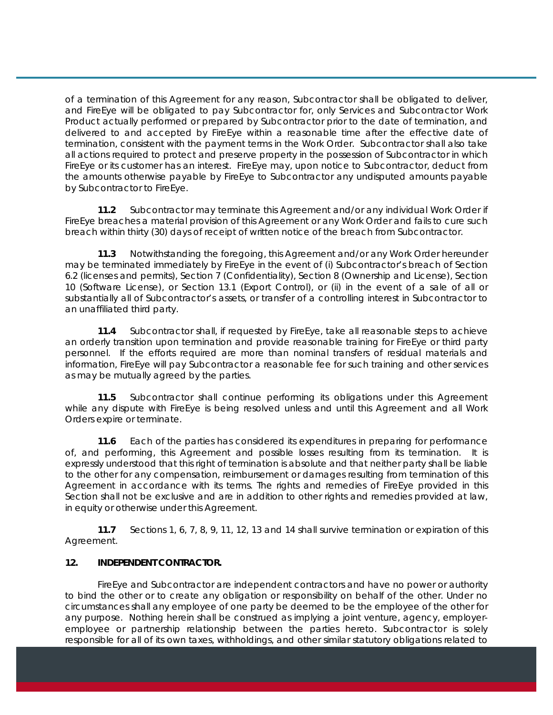of a termination of this Agreement for any reason, Subcontractor shall be obligated to deliver, and FireEye will be obligated to pay Subcontractor for, only Services and Subcontractor Work Product actually performed or prepared by Subcontractor prior to the date of termination, and delivered to and accepted by FireEye within a reasonable time after the effective date of termination, consistent with the payment terms in the Work Order. Subcontractor shall also take all actions required to protect and preserve property in the possession of Subcontractor in which FireEye or its customer has an interest. FireEye may, upon notice to Subcontractor, deduct from the amounts otherwise payable by FireEye to Subcontractor any undisputed amounts payable by Subcontractor to FireEye.

**11.2** Subcontractor may terminate this Agreement and/or any individual Work Order if FireEye breaches a material provision of this Agreement or any Work Order and fails to cure such breach within thirty (30) days of receipt of written notice of the breach from Subcontractor.

**11.3** Notwithstanding the foregoing, this Agreement and/or any Work Order hereunder may be terminated immediately by FireEye in the event of (i) Subcontractor's breach of Section 6.2 (licenses and permits), Section 7 (Confidentiality), Section 8 (Ownership and License), Section 10 (Software License), or Section 13.1 (Export Control), or (ii) in the event of a sale of all or substantially all of Subcontractor's assets, or transfer of a controlling interest in Subcontractor to an unaffiliated third party.

**11.4** Subcontractor shall, if requested by FireEye, take all reasonable steps to achieve an orderly transition upon termination and provide reasonable training for FireEye or third party personnel. If the efforts required are more than nominal transfers of residual materials and information, FireEye will pay Subcontractor a reasonable fee for such training and other services as may be mutually agreed by the parties.

**11.5** Subcontractor shall continue performing its obligations under this Agreement while any dispute with FireEye is being resolved unless and until this Agreement and all Work Orders expire or terminate.

**11.6** Each of the parties has considered its expenditures in preparing for performance of, and performing, this Agreement and possible losses resulting from its termination. It is expressly understood that this right of termination is absolute and that neither party shall be liable to the other for any compensation, reimbursement or damages resulting from termination of this Agreement in accordance with its terms. The rights and remedies of FireEye provided in this Section shall not be exclusive and are in addition to other rights and remedies provided at law, in equity or otherwise under this Agreement.

**11.7** Sections 1, 6, 7, 8, 9, 11, 12, 13 and 14 shall survive termination or expiration of this Agreement.

#### **12. INDEPENDENT CONTRACTOR.**

FireEye and Subcontractor are independent contractors and have no power or authority to bind the other or to create any obligation or responsibility on behalf of the other. Under no circumstances shall any employee of one party be deemed to be the employee of the other for any purpose. Nothing herein shall be construed as implying a joint venture, agency, employeremployee or partnership relationship between the parties hereto. Subcontractor is solely responsible for all of its own taxes, withholdings, and other similar statutory obligations related to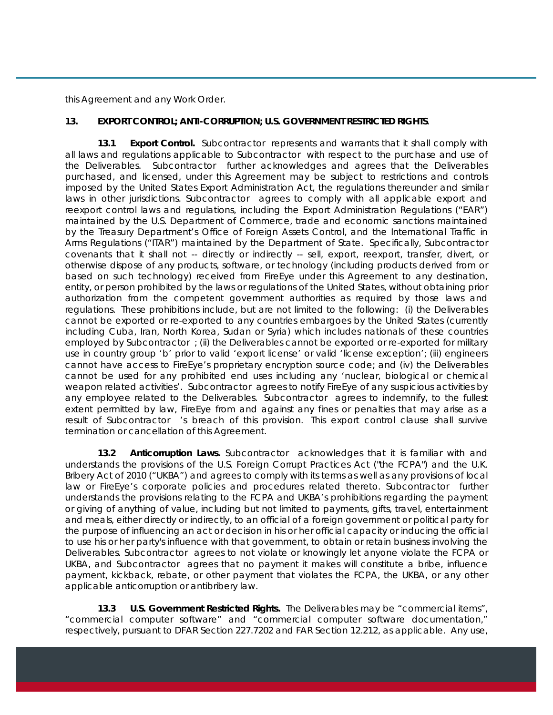this Agreement and any Work Order.

### **13. EXPORT CONTROL; ANTI-CORRUPTION; U.S. GOVERNMENT RESTRICTED RIGHTS**.

**13.1 Export Control.** Subcontractor represents and warrants that it shall comply with all laws and regulations applicable to Subcontractor with respect to the purchase and use of the Deliverables. Subcontractor further acknowledges and agrees that the Deliverables purchased, and licensed, under this Agreement may be subject to restrictions and controls imposed by the United States Export Administration Act, the regulations thereunder and similar laws in other jurisdictions. Subcontractor agrees to comply with all applicable export and reexport control laws and regulations, including the Export Administration Regulations ("EAR") maintained by the U.S. Department of Commerce, trade and economic sanctions maintained by the Treasury Department's Office of Foreign Assets Control, and the International Traffic in Arms Regulations ("ITAR") maintained by the Department of State. Specifically, Subcontractor covenants that it shall not -- directly or indirectly -- sell, export, reexport, transfer, divert, or otherwise dispose of any products, software, or technology (including products derived from or based on such technology) received from FireEye under this Agreement to any destination, entity, or person prohibited by the laws or regulations of the United States, without obtaining prior authorization from the competent government authorities as required by those laws and regulations. These prohibitions include, but are not limited to the following: (i) the Deliverables cannot be exported or re-exported to any countries embargoes by the United States (currently including Cuba, Iran, North Korea, Sudan or Syria) which includes nationals of these countries employed by Subcontractor ; (ii) the Deliverables cannot be exported or re-exported for military use in country group 'b' prior to valid 'export license' or valid 'license exception'; (iii) engineers cannot have access to FireEye's proprietary encryption source code; and (iv) the Deliverables cannot be used for any prohibited end uses including any 'nuclear, biological or chemical weapon related activities'. Subcontractor agrees to notify FireEye of any suspicious activities by any employee related to the Deliverables. Subcontractor agrees to indemnify, to the fullest extent permitted by law, FireEye from and against any fines or penalties that may arise as a result of Subcontractor 's breach of this provision. This export control clause shall survive termination or cancellation of this Agreement.

**13.2 Anticorruption Laws.** Subcontractor acknowledges that it is familiar with and understands the provisions of the U.S. Foreign Corrupt Practices Act ("the FCPA") and the U.K. Bribery Act of 2010 ("UKBA") and agrees to comply with its terms as well as any provisions of local law or FireEye's corporate policies and procedures related thereto. Subcontractor further understands the provisions relating to the FCPA and UKBA's prohibitions regarding the payment or giving of anything of value, including but not limited to payments, gifts, travel, entertainment and meals, either directly or indirectly, to an official of a foreign government or political party for the purpose of influencing an act or decision in his or her official capacity or inducing the official to use his or her party's influence with that government, to obtain or retain business involving the Deliverables. Subcontractor agrees to not violate or knowingly let anyone violate the FCPA or UKBA, and Subcontractor agrees that no payment it makes will constitute a bribe, influence payment, kickback, rebate, or other payment that violates the FCPA, the UKBA, or any other applicable anticorruption or antibribery law.

**13.3 U.S. Government Restricted Rights.** The Deliverables may be "commercial items", "commercial computer software" and "commercial computer software documentation," respectively, pursuant to DFAR Section 227.7202 and FAR Section 12.212, as applicable. Any use,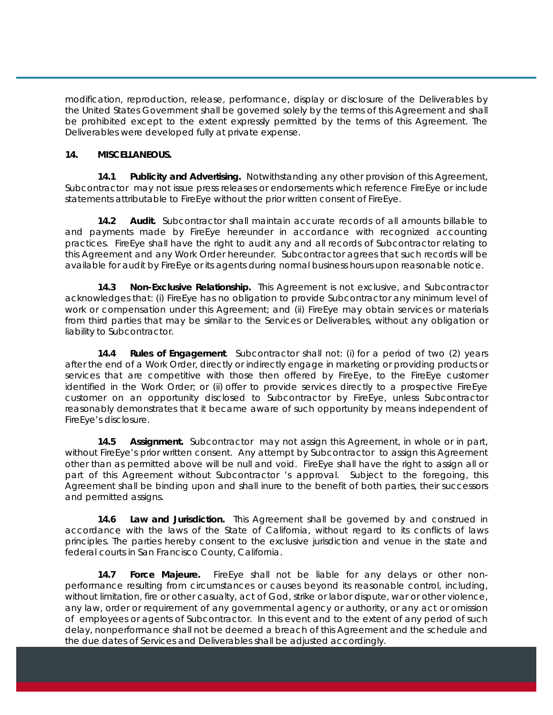modification, reproduction, release, performance, display or disclosure of the Deliverables by the United States Government shall be governed solely by the terms of this Agreement and shall be prohibited except to the extent expressly permitted by the terms of this Agreement. The Deliverables were developed fully at private expense.

#### **14. MISCELLANEOUS.**

**14.1 Publicity and Advertising.** Notwithstanding any other provision of this Agreement, Subcontractor may not issue press releases or endorsements which reference FireEye or include statements attributable to FireEye without the prior written consent of FireEye.

**14.2 Audit.** Subcontractor shall maintain accurate records of all amounts billable to and payments made by FireEye hereunder in accordance with recognized accounting practices. FireEye shall have the right to audit any and all records of Subcontractor relating to this Agreement and any Work Order hereunder. Subcontractor agrees that such records will be available for audit by FireEye or its agents during normal business hours upon reasonable notice.

**14.3 Non-Exclusive Relationship.** This Agreement is not exclusive, and Subcontractor acknowledges that: (i) FireEye has no obligation to provide Subcontractor any minimum level of work or compensation under this Agreement; and (ii) FireEye may obtain services or materials from third parties that may be similar to the Services or Deliverables, without any obligation or liability to Subcontractor.

**14.4 Rules of Engagement**. Subcontractor shall not: (i) for a period of two (2) years after the end of a Work Order, directly or indirectly engage in marketing or providing products or services that are competitive with those then offered by FireEye, to the FireEye customer identified in the Work Order; or (ii) offer to provide services directly to a prospective FireEye customer on an opportunity disclosed to Subcontractor by FireEye, unless Subcontractor reasonably demonstrates that it became aware of such opportunity by means independent of FireEye's disclosure.

**14.5 Assignment.** Subcontractor may not assign this Agreement, in whole or in part, without FireEye's prior written consent. Any attempt by Subcontractor to assign this Agreement other than as permitted above will be null and void. FireEye shall have the right to assign all or part of this Agreement without Subcontractor 's approval. Subject to the foregoing, this Agreement shall be binding upon and shall inure to the benefit of both parties, their successors and permitted assigns.

**14.6 Law and Jurisdiction.** This Agreement shall be governed by and construed in accordance with the laws of the State of California, without regard to its conflicts of laws principles. The parties hereby consent to the exclusive jurisdiction and venue in the state and federal courts in San Francisco County, California.

**14.7 Force Majeure.** FireEye shall not be liable for any delays or other nonperformance resulting from circumstances or causes beyond its reasonable control, including, without limitation, fire or other casualty, act of God, strike or labor dispute, war or other violence, any law, order or requirement of any governmental agency or authority, or any act or omission of employees or agents of Subcontractor. In this event and to the extent of any period of such delay, nonperformance shall not be deemed a breach of this Agreement and the schedule and the due dates of Services and Deliverables shall be adjusted accordingly.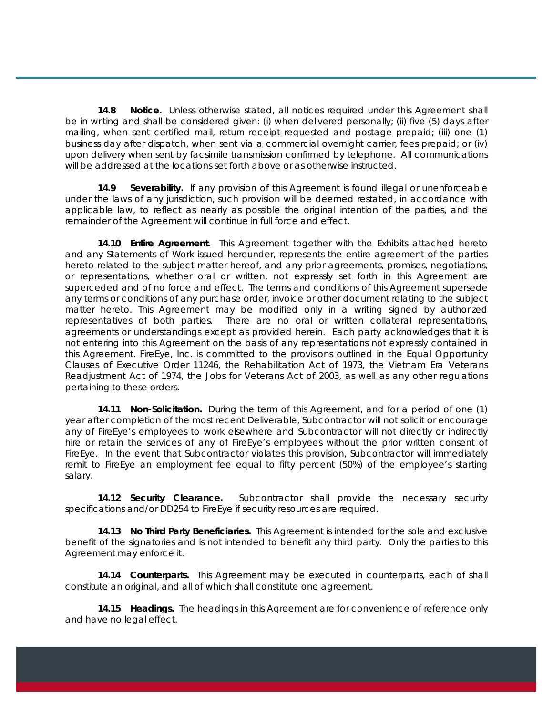**14.8 Notice.** Unless otherwise stated, all notices required under this Agreement shall be in writing and shall be considered given: (i) when delivered personally; (ii) five (5) days after mailing, when sent certified mail, return receipt requested and postage prepaid; (iii) one (1) business day after dispatch, when sent via a commercial overnight carrier, fees prepaid; or (iv) upon delivery when sent by facsimile transmission confirmed by telephone. All communications will be addressed at the locations set forth above or as otherwise instructed.

**14.9 Severability.** If any provision of this Agreement is found illegal or unenforceable under the laws of any jurisdiction, such provision will be deemed restated, in accordance with applicable law, to reflect as nearly as possible the original intention of the parties, and the remainder of the Agreement will continue in full force and effect.

**14.10 Entire Agreement.** This Agreement together with the Exhibits attached hereto and any Statements of Work issued hereunder, represents the entire agreement of the parties hereto related to the subject matter hereof, and any prior agreements, promises, negotiations, or representations, whether oral or written, not expressly set forth in this Agreement are superceded and of no force and effect. The terms and conditions of this Agreement supersede any terms or conditions of any purchase order, invoice or other document relating to the subject matter hereto. This Agreement may be modified only in a writing signed by authorized representatives of both parties. There are no oral or written collateral representations, agreements or understandings except as provided herein. Each party acknowledges that it is not entering into this Agreement on the basis of any representations not expressly contained in this Agreement. FireEye, Inc. is committed to the provisions outlined in the Equal Opportunity Clauses of Executive Order 11246, the Rehabilitation Act of 1973, the Vietnam Era Veterans Readjustment Act of 1974, the Jobs for Veterans Act of 2003, as well as any other regulations pertaining to these orders.

**14.11 Non-Solicitation.** During the term of this Agreement, and for a period of one (1) year after completion of the most recent Deliverable, Subcontractor will not solicit or encourage any of FireEye's employees to work elsewhere and Subcontractor will not directly or indirectly hire or retain the services of any of FireEye's employees without the prior written consent of FireEye. In the event that Subcontractor violates this provision, Subcontractor will immediately remit to FireEye an employment fee equal to fifty percent (50%) of the employee's starting salary.

**14.12 Security Clearance.** Subcontractor shall provide the necessary security specifications and/or DD254 to FireEye if security resources are required.

**14.13 No Third Party Beneficiaries.** This Agreement is intended for the sole and exclusive benefit of the signatories and is not intended to benefit any third party. Only the parties to this Agreement may enforce it.

**14.14 Counterparts.** This Agreement may be executed in counterparts, each of shall constitute an original, and all of which shall constitute one agreement.

**14.15 Headings.** The headings in this Agreement are for convenience of reference only and have no legal effect.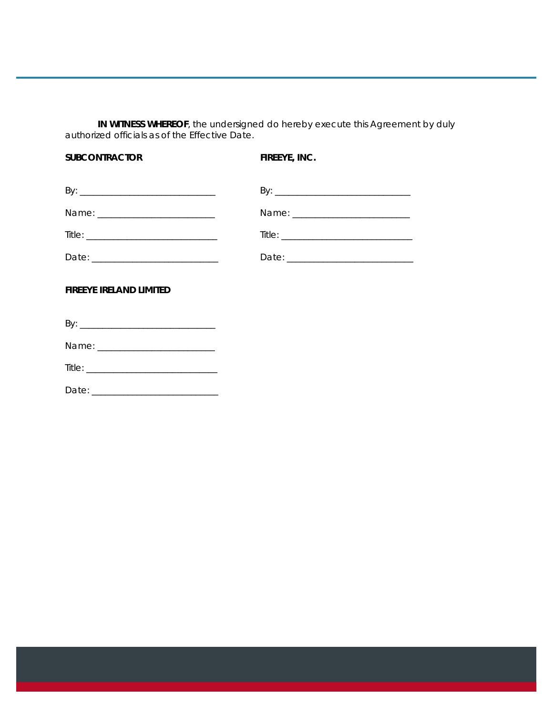**IN WITNESS WHEREOF**, the undersigned do hereby execute this Agreement by duly authorized officials as of the Effective Date.

| <b>SUBCONTRACTOR</b>                                                      | FIREEYE, INC. |  |
|---------------------------------------------------------------------------|---------------|--|
|                                                                           |               |  |
|                                                                           |               |  |
| $\text{Title:}\begin{tabular}{ l l } \hline \textbf{Title:}\end{tabular}$ |               |  |
|                                                                           |               |  |
| <b>FIREEYE IRELAND LIMITED</b>                                            |               |  |
|                                                                           |               |  |
|                                                                           |               |  |
|                                                                           |               |  |

Date: \_\_\_\_\_\_\_\_\_\_\_\_\_\_\_\_\_\_\_\_\_\_\_\_\_\_\_\_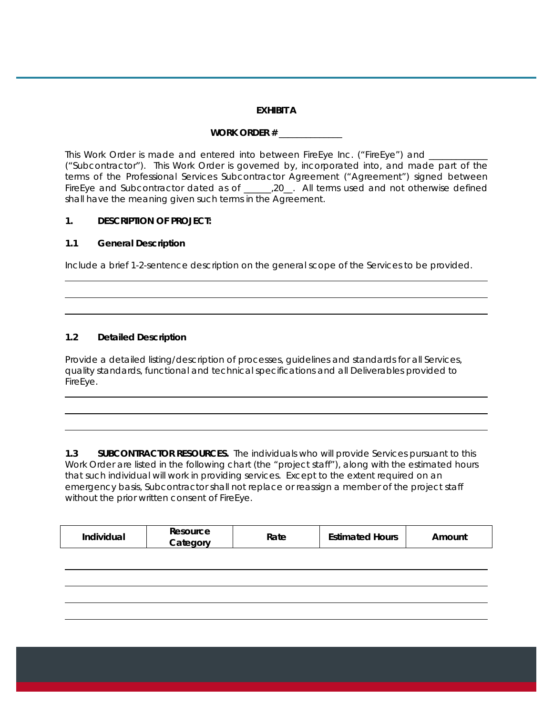#### **EXHIBIT A**

# **WORK ORDER #** \_\_\_\_\_\_\_\_\_\_\_\_\_\_

This Work Order is made and entered into between FireEye Inc. ("FireEye") and ("Subcontractor"). This Work Order is governed by, incorporated into, and made part of the terms of the Professional Services Subcontractor Agreement ("Agreement") signed between FireEye and Subcontractor dated as of \_\_\_\_\_,20\_. All terms used and not otherwise defined shall have the meaning given such terms in the Agreement.

### **1. DESCRIPTION OF PROJECT:**

### **1.1 General Description**

Include a brief 1-2-sentence description on the general scope of the Services to be provided.

## **1.2 Detailed Description**

Provide a detailed listing/description of processes, guidelines and standards for all Services, quality standards, functional and technical specifications and all Deliverables provided to FireEye.

**1.3 SUBCONTRACTOR RESOURCES.** The individuals who will provide Services pursuant to this Work Order are listed in the following chart (the "project staff"), along with the estimated hours that such individual will work in providing services. Except to the extent required on an emergency basis, Subcontractor shall not replace or reassign a member of the project staff without the prior written consent of FireEye.

|--|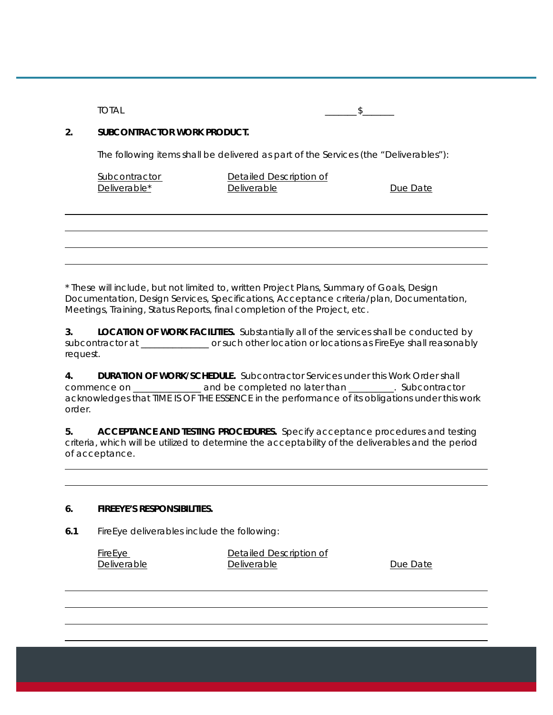$\text{TOTAL}$ 

#### **2. SUBCONTRACTOR WORK PRODUCT.**

The following items shall be delivered as part of the Services (the "Deliverables"):

| Subcontractor |  |
|---------------|--|
| Deliverable*  |  |

Detailed Description of Deliverable Deliverable

\* These will include, but not limited to, written Project Plans, Summary of Goals, Design Documentation, Design Services, Specifications, Acceptance criteria/plan, Documentation, Meetings, Training, Status Reports, final completion of the Project, etc.

**3. LOCATION OF WORK FACILITIES.** Substantially all of the services shall be conducted by subcontractor at \_\_\_\_\_\_\_\_\_\_\_\_\_\_\_ or such other location or locations as FireEye shall reasonably request.

**4. DURATION OF WORK/SCHEDULE.** Subcontractor Services under this Work Order shall commence on \_\_\_\_\_\_\_\_\_\_\_\_\_\_\_ and be completed no later than \_\_\_\_\_\_\_\_\_\_. Subcontractor acknowledges that TIME IS OF THE ESSENCE in the performance of its obligations under this work order.

**5. ACCEPTANCE AND TESTING PROCEDURES.** Specify acceptance procedures and testing criteria, which will be utilized to determine the acceptability of the deliverables and the period of acceptance.

#### **6. FIREEYE'S RESPONSIBILITIES.**

**6.1** FireEye deliverables include the following:

| <b>FireEye</b>     | Detailed Description of |          |
|--------------------|-------------------------|----------|
| <b>Deliverable</b> | Deliverable             | Due Date |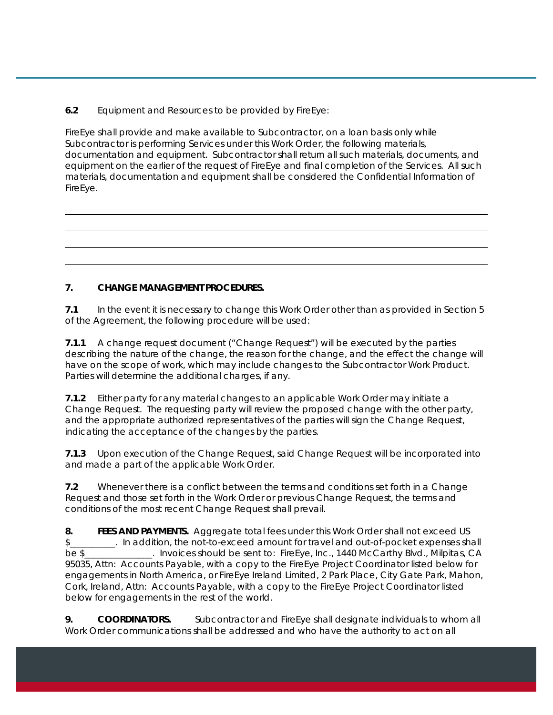**6.2** Equipment and Resources to be provided by FireEye:

FireEye shall provide and make available to Subcontractor, on a loan basis only while Subcontractor is performing Services under this Work Order, the following materials, documentation and equipment. Subcontractor shall return all such materials, documents, and equipment on the earlier of the request of FireEye and final completion of the Services. All such materials, documentation and equipment shall be considered the Confidential Information of FireEye.

# **7. CHANGE MANAGEMENT PROCEDURES.**

**7.1** In the event it is necessary to change this Work Order other than as provided in Section 5 of the Agreement, the following procedure will be used:

**7.1.1** A change request document ("Change Request") will be executed by the parties describing the nature of the change, the reason for the change, and the effect the change will have on the scope of work, which may include changes to the Subcontractor Work Product. Parties will determine the additional charges, if any.

**7.1.2** Either party for any material changes to an applicable Work Order may initiate a Change Request. The requesting party will review the proposed change with the other party, and the appropriate authorized representatives of the parties will sign the Change Request, indicating the acceptance of the changes by the parties.

**7.1.3** Upon execution of the Change Request, said Change Request will be incorporated into and made a part of the applicable Work Order.

**7.2** Whenever there is a conflict between the terms and conditions set forth in a Change Request and those set forth in the Work Order or previous Change Request, the terms and conditions of the most recent Change Request shall prevail.

**8. FEES AND PAYMENTS.** Aggregate total fees under this Work Order shall not exceed US \$\_\_\_\_\_\_\_\_\_\_. In addition, the not-to-exceed amount for travel and out-of-pocket expenses shall be \$ hould be sent to: FireEye, Inc., 1440 McCarthy Blvd., Milpitas, CA 95035, Attn: Accounts Payable, with a copy to the FireEye Project Coordinator listed below for engagements in North America, or FireEye Ireland Limited, 2 Park Place, City Gate Park, Mahon, Cork, Ireland, Attn: Accounts Payable, with a copy to the FireEye Project Coordinator listed below for engagements in the rest of the world.

**9. COORDINATORS.** Subcontractor and FireEye shall designate individuals to whom all Work Order communications shall be addressed and who have the authority to act on all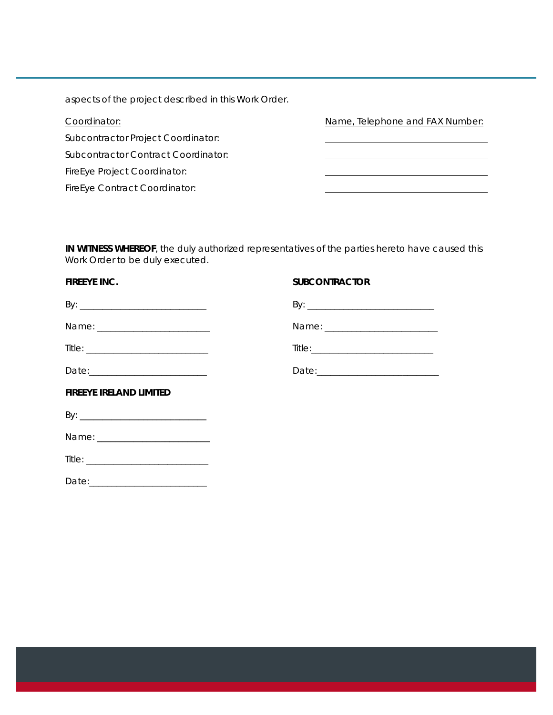aspects of the project described in this Work Order.

| Coordinator:                        | Name, Telephone and FAX Number: |
|-------------------------------------|---------------------------------|
| Subcontractor Project Coordinator:  |                                 |
| Subcontractor Contract Coordinator: |                                 |
| <b>FireEye Project Coordinator:</b> |                                 |
| FireEye Contract Coordinator:       |                                 |

**IN WITNESS WHEREOF**, the duly authorized representatives of the parties hereto have caused this Work Order to be duly executed.

| <b>FIREEYE INC.</b>            | <b>SUBCONTRACTOR</b>                                                                                           |
|--------------------------------|----------------------------------------------------------------------------------------------------------------|
|                                |                                                                                                                |
|                                |                                                                                                                |
|                                |                                                                                                                |
|                                | Date: 2008 2010 2010 2021 2022 2023 2024 2022 2022 2023 2024 2022 2023 2024 2022 2023 2024 2025 2026 2027 2028 |
| <b>FIREEYE IRELAND LIMITED</b> |                                                                                                                |
|                                |                                                                                                                |
|                                |                                                                                                                |
|                                |                                                                                                                |
|                                |                                                                                                                |